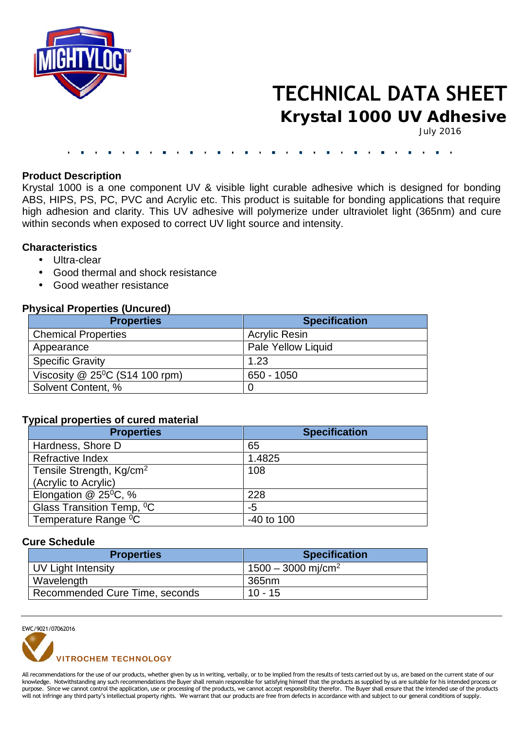

# **TECHNICAL DATA SHEET**

**Krystal 1000 UV Adhesive**

July 2016

#### **Product Description**

Krystal 1000 is a one component UV & visible light curable adhesive which is designed for bonding ABS, HIPS, PS, PC, PVC and Acrylic etc. This product is suitable for bonding applications that require high adhesion and clarity. This UV adhesive will polymerize under ultraviolet light (365nm) and cure within seconds when exposed to correct UV light source and intensity.

## **Characteristics**

- Ultra-clear
- Good thermal and shock resistance
- Good weather resistance

# **Physical Properties (Uncured)**

| <b>Properties</b>                             | <b>Specification</b> |
|-----------------------------------------------|----------------------|
| <b>Chemical Properties</b>                    | <b>Acrylic Resin</b> |
| Appearance                                    | Pale Yellow Liquid   |
| <b>Specific Gravity</b>                       | 1.23                 |
| Viscosity $@$ 25 <sup>0</sup> C (S14 100 rpm) | 650 - 1050           |
| Solvent Content, %                            |                      |

### **Typical properties of cured material**

| <b>Properties</b>                     | <b>Specification</b> |
|---------------------------------------|----------------------|
| Hardness, Shore D                     | 65                   |
| Refractive Index                      | 1.4825               |
| Tensile Strength, Kg/cm <sup>2</sup>  | 108                  |
| (Acrylic to Acrylic)                  |                      |
| Elongation $@$ 25 <sup>o</sup> C, %   | 228                  |
| Glass Transition Temp, <sup>0</sup> C | -5                   |
| Temperature Range <sup>0</sup> C      | $-40$ to 100         |

#### **Cure Schedule**

| <b>Properties</b>              | <b>Specification</b>             |
|--------------------------------|----------------------------------|
| UV Light Intensity             | $1500 - 3000$ mj/cm <sup>2</sup> |
| Wavelength                     | 365nm                            |
| Recommended Cure Time, seconds | $10 - 15$                        |

EWC/9021/07062016



All recommendations for the use of our products, whether given by us in writing, verbally, or to be implied from the results of tests carried out by us, are based on the current state of our knowledge. Notwithstanding any such recommendations the Buyer shall remain responsible for satisfying himself that the products as supplied by us are suitable for his intended process or purpose. Since we cannot control the application, use or processing of the products, we cannot accept responsibility therefor. The Buyer shall ensure that the intended use of the products will not infringe any third party's intellectual property rights. We warrant that our products are free from defects in accordance with and subject to our general conditions of supply.